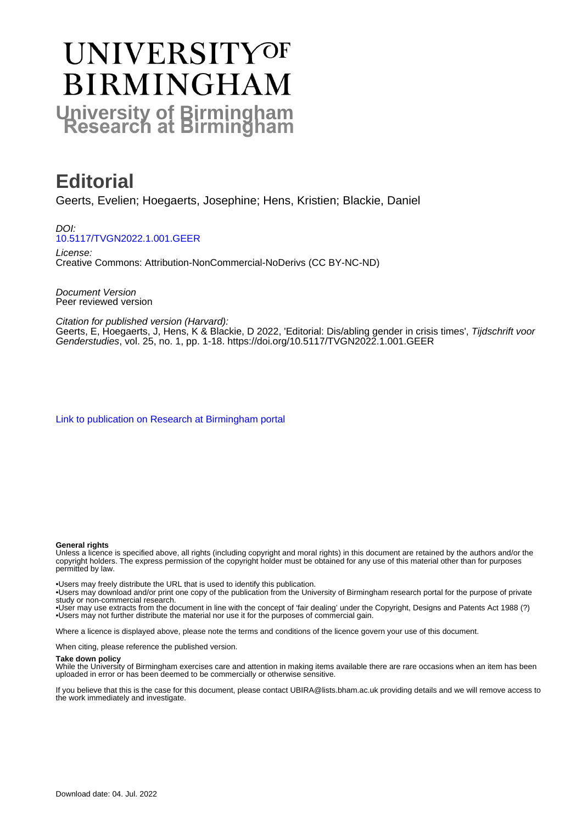# **UNIVERSITYOF BIRMINGHAM University of Birmingham**

# **Editorial**

Geerts, Evelien; Hoegaerts, Josephine; Hens, Kristien; Blackie, Daniel

DOI: [10.5117/TVGN2022.1.001.GEER](https://doi.org/10.5117/TVGN2022.1.001.GEER)

License: Creative Commons: Attribution-NonCommercial-NoDerivs (CC BY-NC-ND)

Document Version Peer reviewed version

Citation for published version (Harvard):

Geerts, E, Hoegaerts, J, Hens, K & Blackie, D 2022, 'Editorial: Dis/abling gender in crisis times', *Tijdschrift voor* Genderstudies, vol. 25, no. 1, pp. 1-18. <https://doi.org/10.5117/TVGN2022.1.001.GEER>

[Link to publication on Research at Birmingham portal](https://birmingham.elsevierpure.com/en/publications/be4068e4-3902-44d9-8943-7153e0addc60)

#### **General rights**

Unless a licence is specified above, all rights (including copyright and moral rights) in this document are retained by the authors and/or the copyright holders. The express permission of the copyright holder must be obtained for any use of this material other than for purposes permitted by law.

• Users may freely distribute the URL that is used to identify this publication.

• Users may download and/or print one copy of the publication from the University of Birmingham research portal for the purpose of private study or non-commercial research.

• User may use extracts from the document in line with the concept of 'fair dealing' under the Copyright, Designs and Patents Act 1988 (?) • Users may not further distribute the material nor use it for the purposes of commercial gain.

Where a licence is displayed above, please note the terms and conditions of the licence govern your use of this document.

When citing, please reference the published version.

#### **Take down policy**

While the University of Birmingham exercises care and attention in making items available there are rare occasions when an item has been uploaded in error or has been deemed to be commercially or otherwise sensitive.

If you believe that this is the case for this document, please contact UBIRA@lists.bham.ac.uk providing details and we will remove access to the work immediately and investigate.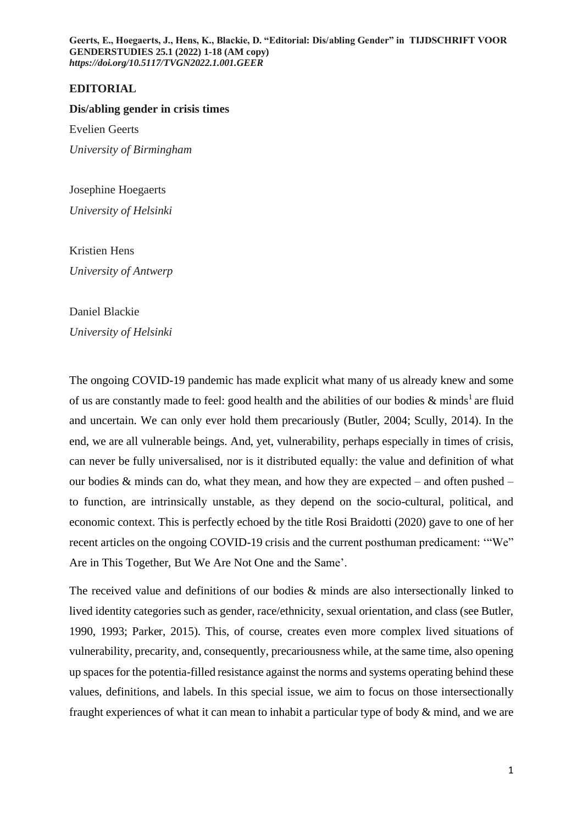# **EDITORIAL**

#### **Dis/abling gender in crisis times**

Evelien Geerts *University of Birmingham*

Josephine Hoegaerts *University of Helsinki*

Kristien Hens *University of Antwerp*

Daniel Blackie *University of Helsinki*

The ongoing COVID-19 pandemic has made explicit what many of us already knew and some of us are constantly made to feel: good health and the abilities of our bodies  $\&$  minds<sup>1</sup> are fluid and uncertain. We can only ever hold them precariously (Butler, 2004; Scully, 2014). In the end, we are all vulnerable beings. And, yet, vulnerability, perhaps especially in times of crisis, can never be fully universalised, nor is it distributed equally: the value and definition of what our bodies  $\&$  minds can do, what they mean, and how they are expected – and often pushed – to function, are intrinsically unstable, as they depend on the socio-cultural, political, and economic context. This is perfectly echoed by the title Rosi Braidotti (2020) gave to one of her recent articles on the ongoing COVID-19 crisis and the current posthuman predicament: '"We" Are in This Together, But We Are Not One and the Same'.

The received value and definitions of our bodies  $\&$  minds are also intersectionally linked to lived identity categories such as gender, race/ethnicity, sexual orientation, and class (see Butler, 1990, 1993; Parker, 2015). This, of course, creates even more complex lived situations of vulnerability, precarity, and, consequently, precariousness while, at the same time, also opening up spaces for the potentia-filled resistance against the norms and systems operating behind these values, definitions, and labels. In this special issue, we aim to focus on those intersectionally fraught experiences of what it can mean to inhabit a particular type of body & mind, and we are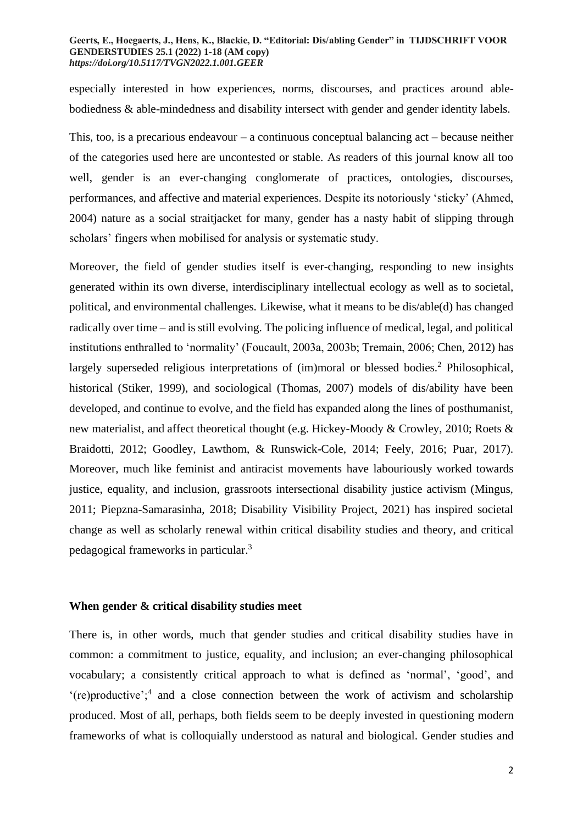especially interested in how experiences, norms, discourses, and practices around ablebodiedness & able-mindedness and disability intersect with gender and gender identity labels.

This, too, is a precarious endeavour – a continuous conceptual balancing act – because neither of the categories used here are uncontested or stable. As readers of this journal know all too well, gender is an ever-changing conglomerate of practices, ontologies, discourses, performances, and affective and material experiences. Despite its notoriously 'sticky' (Ahmed, 2004) nature as a social straitjacket for many, gender has a nasty habit of slipping through scholars' fingers when mobilised for analysis or systematic study.

Moreover, the field of gender studies itself is ever-changing, responding to new insights generated within its own diverse, interdisciplinary intellectual ecology as well as to societal, political, and environmental challenges. Likewise, what it means to be dis/able(d) has changed radically over time – and is still evolving. The policing influence of medical, legal, and political institutions enthralled to 'normality' (Foucault, 2003a, 2003b; Tremain, 2006; Chen, 2012) has largely superseded religious interpretations of (im)moral or blessed bodies.<sup>2</sup> Philosophical, historical (Stiker, 1999), and sociological (Thomas, 2007) models of dis/ability have been developed, and continue to evolve, and the field has expanded along the lines of posthumanist, new materialist, and affect theoretical thought (e.g. Hickey-Moody & Crowley, 2010; Roets & Braidotti, 2012; Goodley, Lawthom, & Runswick-Cole, 2014; Feely, 2016; Puar, 2017). Moreover, much like feminist and antiracist movements have labouriously worked towards justice, equality, and inclusion, grassroots intersectional disability justice activism (Mingus, 2011; Piepzna-Samarasinha, 2018; Disability Visibility Project, 2021) has inspired societal change as well as scholarly renewal within critical disability studies and theory, and critical pedagogical frameworks in particular.<sup>3</sup>

## **When gender & critical disability studies meet**

There is, in other words, much that gender studies and critical disability studies have in common: a commitment to justice, equality, and inclusion; an ever-changing philosophical vocabulary; a consistently critical approach to what is defined as 'normal', 'good', and '(re)productive';<sup>4</sup> and a close connection between the work of activism and scholarship produced. Most of all, perhaps, both fields seem to be deeply invested in questioning modern frameworks of what is colloquially understood as natural and biological. Gender studies and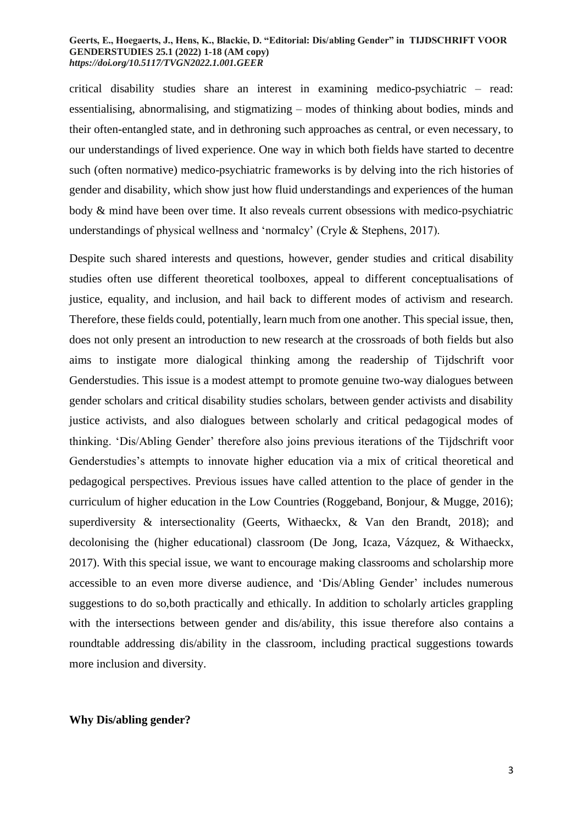critical disability studies share an interest in examining medico-psychiatric – read: essentialising, abnormalising, and stigmatizing – modes of thinking about bodies, minds and their often-entangled state, and in dethroning such approaches as central, or even necessary, to our understandings of lived experience. One way in which both fields have started to decentre such (often normative) medico-psychiatric frameworks is by delving into the rich histories of gender and disability, which show just how fluid understandings and experiences of the human body & mind have been over time. It also reveals current obsessions with medico-psychiatric understandings of physical wellness and 'normalcy' (Cryle & Stephens, 2017).

Despite such shared interests and questions, however, gender studies and critical disability studies often use different theoretical toolboxes, appeal to different conceptualisations of justice, equality, and inclusion, and hail back to different modes of activism and research. Therefore, these fields could, potentially, learn much from one another. This special issue, then, does not only present an introduction to new research at the crossroads of both fields but also aims to instigate more dialogical thinking among the readership of Tijdschrift voor Genderstudies. This issue is a modest attempt to promote genuine two-way dialogues between gender scholars and critical disability studies scholars, between gender activists and disability justice activists, and also dialogues between scholarly and critical pedagogical modes of thinking. 'Dis/Abling Gender' therefore also joins previous iterations of the Tijdschrift voor Genderstudies's attempts to innovate higher education via a mix of critical theoretical and pedagogical perspectives. Previous issues have called attention to the place of gender in the curriculum of higher education in the Low Countries (Roggeband, Bonjour, & Mugge, 2016); superdiversity & intersectionality (Geerts, Withaeckx, & Van den Brandt, 2018); and decolonising the (higher educational) classroom (De Jong, Icaza, Vázquez, & Withaeckx, 2017). With this special issue, we want to encourage making classrooms and scholarship more accessible to an even more diverse audience, and 'Dis/Abling Gender' includes numerous suggestions to do so,both practically and ethically. In addition to scholarly articles grappling with the intersections between gender and dis/ability, this issue therefore also contains a roundtable addressing dis/ability in the classroom, including practical suggestions towards more inclusion and diversity.

#### **Why Dis/abling gender?**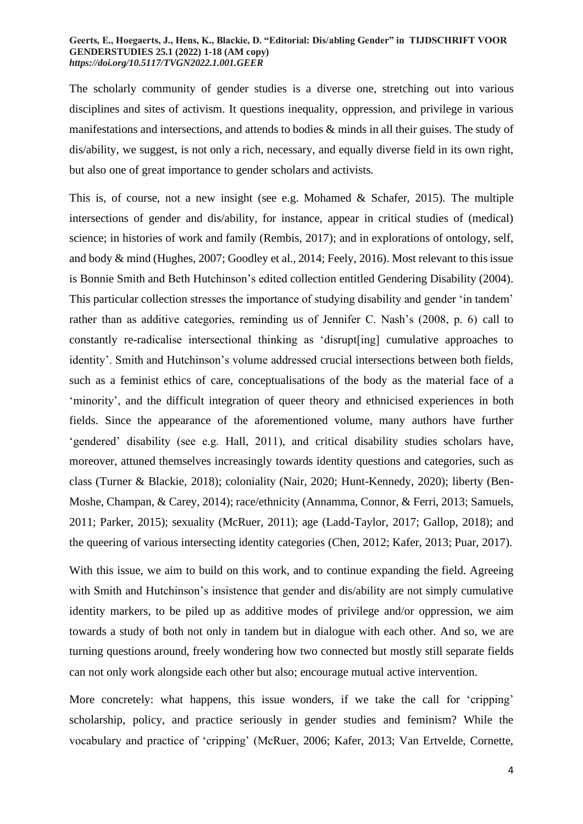The scholarly community of gender studies is a diverse one, stretching out into various disciplines and sites of activism. It questions inequality, oppression, and privilege in various manifestations and intersections, and attends to bodies & minds in all their guises. The study of dis/ability, we suggest, is not only a rich, necessary, and equally diverse field in its own right, but also one of great importance to gender scholars and activists.

This is, of course, not a new insight (see e.g. Mohamed & Schafer, 2015). The multiple intersections of gender and dis/ability, for instance, appear in critical studies of (medical) science; in histories of work and family (Rembis, 2017); and in explorations of ontology, self, and body & mind (Hughes, 2007; Goodley et al., 2014; Feely, 2016). Most relevant to this issue is Bonnie Smith and Beth Hutchinson's edited collection entitled Gendering Disability (2004). This particular collection stresses the importance of studying disability and gender 'in tandem' rather than as additive categories, reminding us of Jennifer C. Nash's (2008, p. 6) call to constantly re-radicalise intersectional thinking as 'disrupt[ing] cumulative approaches to identity'. Smith and Hutchinson's volume addressed crucial intersections between both fields, such as a feminist ethics of care, conceptualisations of the body as the material face of a 'minority', and the difficult integration of queer theory and ethnicised experiences in both fields. Since the appearance of the aforementioned volume, many authors have further 'gendered' disability (see e.g. Hall, 2011), and critical disability studies scholars have, moreover, attuned themselves increasingly towards identity questions and categories, such as class (Turner & Blackie, 2018); coloniality (Nair, 2020; Hunt-Kennedy, 2020); liberty (Ben-Moshe, Champan, & Carey, 2014); race/ethnicity (Annamma, Connor, & Ferri, 2013; Samuels, 2011; Parker, 2015); sexuality (McRuer, 2011); age (Ladd-Taylor, 2017; Gallop, 2018); and the queering of various intersecting identity categories (Chen, 2012; Kafer, 2013; Puar, 2017).

With this issue, we aim to build on this work, and to continue expanding the field. Agreeing with Smith and Hutchinson's insistence that gender and dis/ability are not simply cumulative identity markers, to be piled up as additive modes of privilege and/or oppression, we aim towards a study of both not only in tandem but in dialogue with each other. And so, we are turning questions around, freely wondering how two connected but mostly still separate fields can not only work alongside each other but also; encourage mutual active intervention.

More concretely: what happens, this issue wonders, if we take the call for 'cripping' scholarship, policy, and practice seriously in gender studies and feminism? While the vocabulary and practice of 'cripping' (McRuer, 2006; Kafer, 2013; Van Ertvelde, Cornette,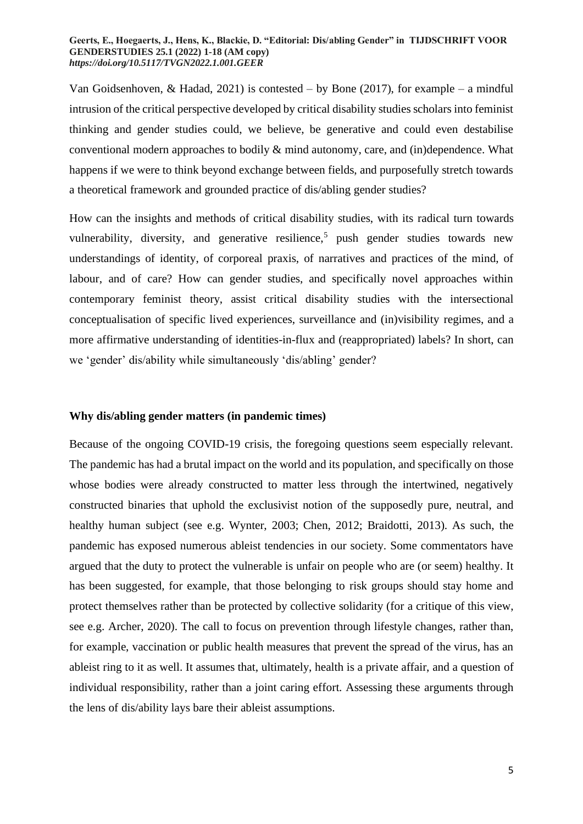Van Goidsenhoven, & Hadad, 2021) is contested – by Bone (2017), for example – a mindful intrusion of the critical perspective developed by critical disability studies scholars into feminist thinking and gender studies could, we believe, be generative and could even destabilise conventional modern approaches to bodily & mind autonomy, care, and (in)dependence. What happens if we were to think beyond exchange between fields, and purposefully stretch towards a theoretical framework and grounded practice of dis/abling gender studies?

How can the insights and methods of critical disability studies, with its radical turn towards vulnerability, diversity, and generative resilience,<sup>5</sup> push gender studies towards new understandings of identity, of corporeal praxis, of narratives and practices of the mind, of labour, and of care? How can gender studies, and specifically novel approaches within contemporary feminist theory, assist critical disability studies with the intersectional conceptualisation of specific lived experiences, surveillance and (in)visibility regimes, and a more affirmative understanding of identities-in-flux and (reappropriated) labels? In short, can we 'gender' dis/ability while simultaneously 'dis/abling' gender?

### **Why dis/abling gender matters (in pandemic times)**

Because of the ongoing COVID-19 crisis, the foregoing questions seem especially relevant. The pandemic has had a brutal impact on the world and its population, and specifically on those whose bodies were already constructed to matter less through the intertwined, negatively constructed binaries that uphold the exclusivist notion of the supposedly pure, neutral, and healthy human subject (see e.g. Wynter, 2003; Chen, 2012; Braidotti, 2013). As such, the pandemic has exposed numerous ableist tendencies in our society. Some commentators have argued that the duty to protect the vulnerable is unfair on people who are (or seem) healthy. It has been suggested, for example, that those belonging to risk groups should stay home and protect themselves rather than be protected by collective solidarity (for a critique of this view, see e.g. Archer, 2020). The call to focus on prevention through lifestyle changes, rather than, for example, vaccination or public health measures that prevent the spread of the virus, has an ableist ring to it as well. It assumes that, ultimately, health is a private affair, and a question of individual responsibility, rather than a joint caring effort. Assessing these arguments through the lens of dis/ability lays bare their ableist assumptions.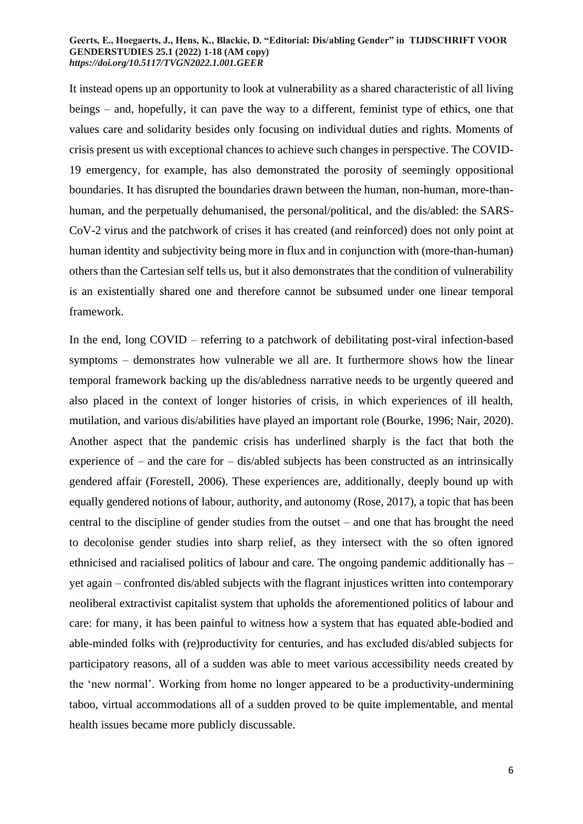It instead opens up an opportunity to look at vulnerability as a shared characteristic of all living beings – and, hopefully, it can pave the way to a different, feminist type of ethics, one that values care and solidarity besides only focusing on individual duties and rights. Moments of crisis present us with exceptional chances to achieve such changes in perspective. The COVID-19 emergency, for example, has also demonstrated the porosity of seemingly oppositional boundaries. It has disrupted the boundaries drawn between the human, non-human, more-thanhuman, and the perpetually dehumanised, the personal/political, and the dis/abled: the SARS-CoV-2 virus and the patchwork of crises it has created (and reinforced) does not only point at human identity and subjectivity being more in flux and in conjunction with (more-than-human) others than the Cartesian self tells us, but it also demonstrates that the condition of vulnerability is an existentially shared one and therefore cannot be subsumed under one linear temporal framework.

In the end, long COVID – referring to a patchwork of debilitating post-viral infection-based symptoms – demonstrates how vulnerable we all are. It furthermore shows how the linear temporal framework backing up the dis/abledness narrative needs to be urgently queered and also placed in the context of longer histories of crisis, in which experiences of ill health, mutilation, and various dis/abilities have played an important role (Bourke, 1996; Nair, 2020). Another aspect that the pandemic crisis has underlined sharply is the fact that both the experience of – and the care for – dis/abled subjects has been constructed as an intrinsically gendered affair (Forestell, 2006). These experiences are, additionally, deeply bound up with equally gendered notions of labour, authority, and autonomy (Rose, 2017), a topic that has been central to the discipline of gender studies from the outset – and one that has brought the need to decolonise gender studies into sharp relief, as they intersect with the so often ignored ethnicised and racialised politics of labour and care. The ongoing pandemic additionally has – yet again – confronted dis/abled subjects with the flagrant injustices written into contemporary neoliberal extractivist capitalist system that upholds the aforementioned politics of labour and care: for many, it has been painful to witness how a system that has equated able-bodied and able-minded folks with (re)productivity for centuries, and has excluded dis/abled subjects for participatory reasons, all of a sudden was able to meet various accessibility needs created by the 'new normal'. Working from home no longer appeared to be a productivity-undermining taboo, virtual accommodations all of a sudden proved to be quite implementable, and mental health issues became more publicly discussable.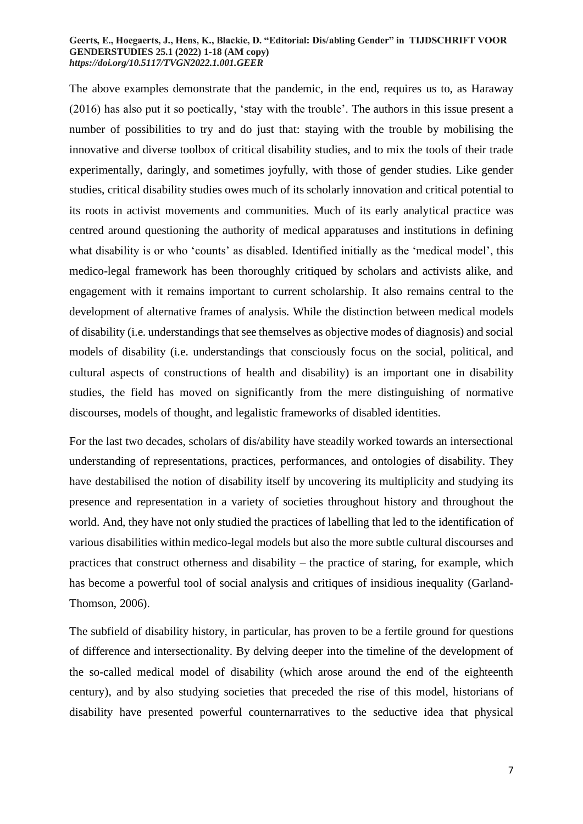The above examples demonstrate that the pandemic, in the end, requires us to, as Haraway (2016) has also put it so poetically, 'stay with the trouble'. The authors in this issue present a number of possibilities to try and do just that: staying with the trouble by mobilising the innovative and diverse toolbox of critical disability studies, and to mix the tools of their trade experimentally, daringly, and sometimes joyfully, with those of gender studies. Like gender studies, critical disability studies owes much of its scholarly innovation and critical potential to its roots in activist movements and communities. Much of its early analytical practice was centred around questioning the authority of medical apparatuses and institutions in defining what disability is or who 'counts' as disabled. Identified initially as the 'medical model', this medico-legal framework has been thoroughly critiqued by scholars and activists alike, and engagement with it remains important to current scholarship. It also remains central to the development of alternative frames of analysis. While the distinction between medical models of disability (i.e. understandings that see themselves as objective modes of diagnosis) and social models of disability (i.e. understandings that consciously focus on the social, political, and cultural aspects of constructions of health and disability) is an important one in disability studies, the field has moved on significantly from the mere distinguishing of normative discourses, models of thought, and legalistic frameworks of disabled identities.

For the last two decades, scholars of dis/ability have steadily worked towards an intersectional understanding of representations, practices, performances, and ontologies of disability. They have destabilised the notion of disability itself by uncovering its multiplicity and studying its presence and representation in a variety of societies throughout history and throughout the world. And, they have not only studied the practices of labelling that led to the identification of various disabilities within medico-legal models but also the more subtle cultural discourses and practices that construct otherness and disability – the practice of staring, for example, which has become a powerful tool of social analysis and critiques of insidious inequality (Garland-Thomson, 2006).

The subfield of disability history, in particular, has proven to be a fertile ground for questions of difference and intersectionality. By delving deeper into the timeline of the development of the so-called medical model of disability (which arose around the end of the eighteenth century), and by also studying societies that preceded the rise of this model, historians of disability have presented powerful counternarratives to the seductive idea that physical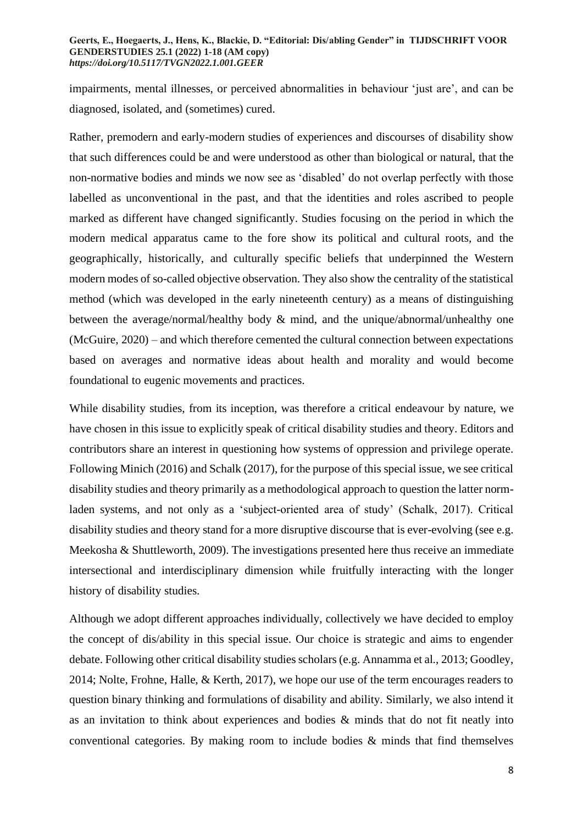impairments, mental illnesses, or perceived abnormalities in behaviour 'just are', and can be diagnosed, isolated, and (sometimes) cured.

Rather, premodern and early-modern studies of experiences and discourses of disability show that such differences could be and were understood as other than biological or natural, that the non-normative bodies and minds we now see as 'disabled' do not overlap perfectly with those labelled as unconventional in the past, and that the identities and roles ascribed to people marked as different have changed significantly. Studies focusing on the period in which the modern medical apparatus came to the fore show its political and cultural roots, and the geographically, historically, and culturally specific beliefs that underpinned the Western modern modes of so-called objective observation. They also show the centrality of the statistical method (which was developed in the early nineteenth century) as a means of distinguishing between the average/normal/healthy body & mind, and the unique/abnormal/unhealthy one (McGuire, 2020) – and which therefore cemented the cultural connection between expectations based on averages and normative ideas about health and morality and would become foundational to eugenic movements and practices.

While disability studies, from its inception, was therefore a critical endeavour by nature, we have chosen in this issue to explicitly speak of critical disability studies and theory. Editors and contributors share an interest in questioning how systems of oppression and privilege operate. Following Minich (2016) and Schalk (2017), for the purpose of this special issue, we see critical disability studies and theory primarily as a methodological approach to question the latter normladen systems, and not only as a 'subject-oriented area of study' (Schalk, 2017). Critical disability studies and theory stand for a more disruptive discourse that is ever-evolving (see e.g. Meekosha & Shuttleworth, 2009). The investigations presented here thus receive an immediate intersectional and interdisciplinary dimension while fruitfully interacting with the longer history of disability studies.

Although we adopt different approaches individually, collectively we have decided to employ the concept of dis/ability in this special issue. Our choice is strategic and aims to engender debate. Following other critical disability studies scholars (e.g. Annamma et al., 2013; Goodley, 2014; Nolte, Frohne, Halle, & Kerth, 2017), we hope our use of the term encourages readers to question binary thinking and formulations of disability and ability. Similarly, we also intend it as an invitation to think about experiences and bodies & minds that do not fit neatly into conventional categories. By making room to include bodies & minds that find themselves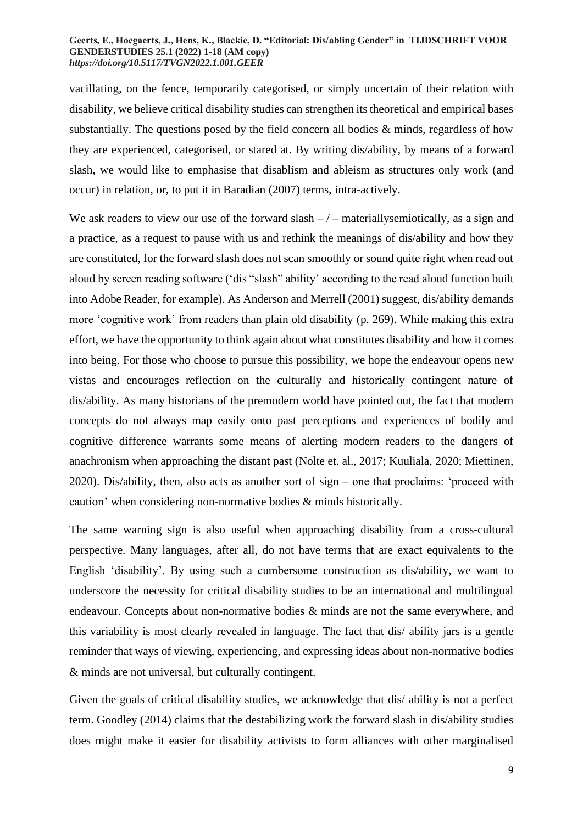vacillating, on the fence, temporarily categorised, or simply uncertain of their relation with disability, we believe critical disability studies can strengthen its theoretical and empirical bases substantially. The questions posed by the field concern all bodies  $\&$  minds, regardless of how they are experienced, categorised, or stared at. By writing dis/ability, by means of a forward slash, we would like to emphasise that disablism and ableism as structures only work (and occur) in relation, or, to put it in Baradian (2007) terms, intra-actively.

We ask readers to view our use of the forward slash  $-/-$  materially semiotically, as a sign and a practice, as a request to pause with us and rethink the meanings of dis/ability and how they are constituted, for the forward slash does not scan smoothly or sound quite right when read out aloud by screen reading software ('dis "slash" ability' according to the read aloud function built into Adobe Reader, for example). As Anderson and Merrell (2001) suggest, dis/ability demands more 'cognitive work' from readers than plain old disability (p. 269). While making this extra effort, we have the opportunity to think again about what constitutes disability and how it comes into being. For those who choose to pursue this possibility, we hope the endeavour opens new vistas and encourages reflection on the culturally and historically contingent nature of dis/ability. As many historians of the premodern world have pointed out, the fact that modern concepts do not always map easily onto past perceptions and experiences of bodily and cognitive difference warrants some means of alerting modern readers to the dangers of anachronism when approaching the distant past (Nolte et. al., 2017; Kuuliala, 2020; Miettinen, 2020). Dis/ability, then, also acts as another sort of sign – one that proclaims: 'proceed with caution' when considering non-normative bodies & minds historically.

The same warning sign is also useful when approaching disability from a cross-cultural perspective. Many languages, after all, do not have terms that are exact equivalents to the English 'disability'. By using such a cumbersome construction as dis/ability, we want to underscore the necessity for critical disability studies to be an international and multilingual endeavour. Concepts about non-normative bodies & minds are not the same everywhere, and this variability is most clearly revealed in language. The fact that dis/ ability jars is a gentle reminder that ways of viewing, experiencing, and expressing ideas about non-normative bodies & minds are not universal, but culturally contingent.

Given the goals of critical disability studies, we acknowledge that dis/ ability is not a perfect term. Goodley (2014) claims that the destabilizing work the forward slash in dis/ability studies does might make it easier for disability activists to form alliances with other marginalised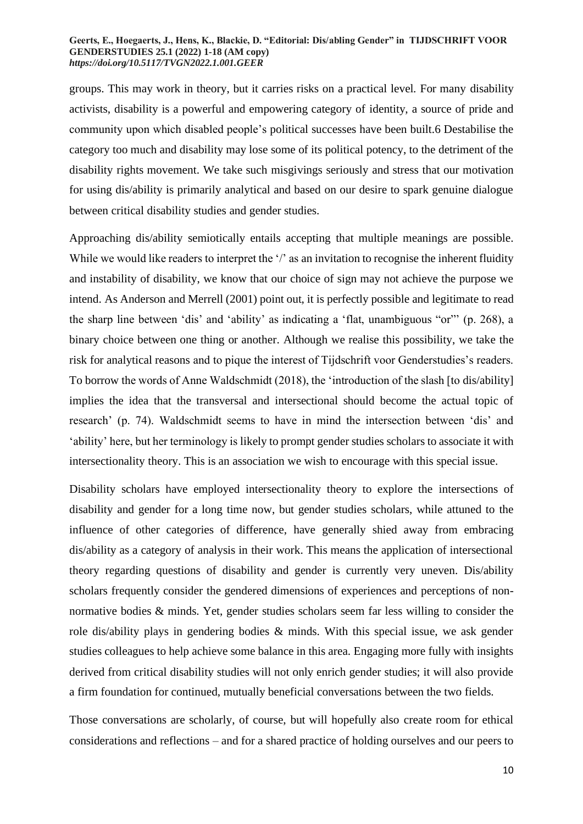groups. This may work in theory, but it carries risks on a practical level. For many disability activists, disability is a powerful and empowering category of identity, a source of pride and community upon which disabled people's political successes have been built.6 Destabilise the category too much and disability may lose some of its political potency, to the detriment of the disability rights movement. We take such misgivings seriously and stress that our motivation for using dis/ability is primarily analytical and based on our desire to spark genuine dialogue between critical disability studies and gender studies.

Approaching dis/ability semiotically entails accepting that multiple meanings are possible. While we would like readers to interpret the '/' as an invitation to recognise the inherent fluidity and instability of disability, we know that our choice of sign may not achieve the purpose we intend. As Anderson and Merrell (2001) point out, it is perfectly possible and legitimate to read the sharp line between 'dis' and 'ability' as indicating a 'flat, unambiguous "or"' (p. 268), a binary choice between one thing or another. Although we realise this possibility, we take the risk for analytical reasons and to pique the interest of Tijdschrift voor Genderstudies's readers. To borrow the words of Anne Waldschmidt (2018), the 'introduction of the slash [to dis/ability] implies the idea that the transversal and intersectional should become the actual topic of research' (p. 74). Waldschmidt seems to have in mind the intersection between 'dis' and 'ability' here, but her terminology is likely to prompt gender studies scholars to associate it with intersectionality theory. This is an association we wish to encourage with this special issue.

Disability scholars have employed intersectionality theory to explore the intersections of disability and gender for a long time now, but gender studies scholars, while attuned to the influence of other categories of difference, have generally shied away from embracing dis/ability as a category of analysis in their work. This means the application of intersectional theory regarding questions of disability and gender is currently very uneven. Dis/ability scholars frequently consider the gendered dimensions of experiences and perceptions of nonnormative bodies & minds. Yet, gender studies scholars seem far less willing to consider the role dis/ability plays in gendering bodies & minds. With this special issue, we ask gender studies colleagues to help achieve some balance in this area. Engaging more fully with insights derived from critical disability studies will not only enrich gender studies; it will also provide a firm foundation for continued, mutually beneficial conversations between the two fields.

Those conversations are scholarly, of course, but will hopefully also create room for ethical considerations and reflections – and for a shared practice of holding ourselves and our peers to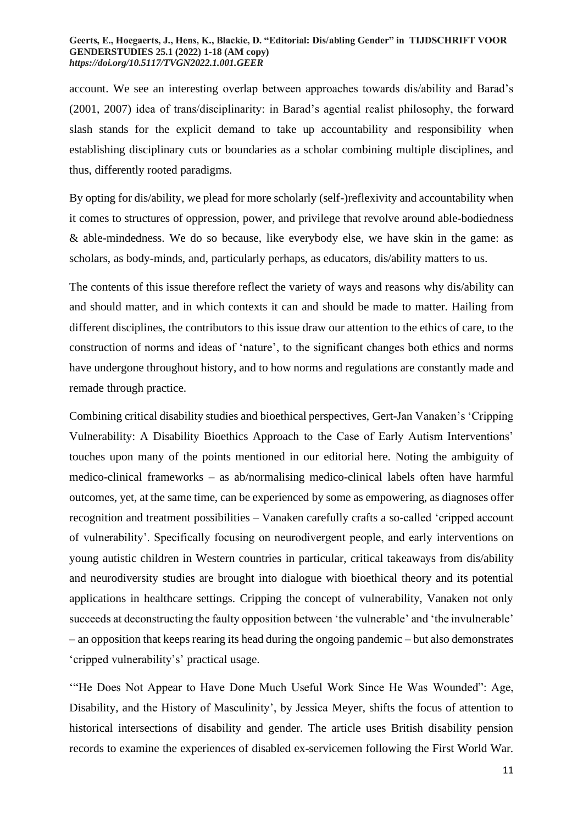account. We see an interesting overlap between approaches towards dis/ability and Barad's (2001, 2007) idea of trans/disciplinarity: in Barad's agential realist philosophy, the forward slash stands for the explicit demand to take up accountability and responsibility when establishing disciplinary cuts or boundaries as a scholar combining multiple disciplines, and thus, differently rooted paradigms.

By opting for dis/ability, we plead for more scholarly (self-)reflexivity and accountability when it comes to structures of oppression, power, and privilege that revolve around able-bodiedness & able-mindedness. We do so because, like everybody else, we have skin in the game: as scholars, as body-minds, and, particularly perhaps, as educators, dis/ability matters to us.

The contents of this issue therefore reflect the variety of ways and reasons why dis/ability can and should matter, and in which contexts it can and should be made to matter. Hailing from different disciplines, the contributors to this issue draw our attention to the ethics of care, to the construction of norms and ideas of 'nature', to the significant changes both ethics and norms have undergone throughout history, and to how norms and regulations are constantly made and remade through practice.

Combining critical disability studies and bioethical perspectives, Gert-Jan Vanaken's 'Cripping Vulnerability: A Disability Bioethics Approach to the Case of Early Autism Interventions' touches upon many of the points mentioned in our editorial here. Noting the ambiguity of medico-clinical frameworks – as ab/normalising medico-clinical labels often have harmful outcomes, yet, at the same time, can be experienced by some as empowering, as diagnoses offer recognition and treatment possibilities – Vanaken carefully crafts a so-called 'cripped account of vulnerability'. Specifically focusing on neurodivergent people, and early interventions on young autistic children in Western countries in particular, critical takeaways from dis/ability and neurodiversity studies are brought into dialogue with bioethical theory and its potential applications in healthcare settings. Cripping the concept of vulnerability, Vanaken not only succeeds at deconstructing the faulty opposition between 'the vulnerable' and 'the invulnerable' – an opposition that keeps rearing its head during the ongoing pandemic – but also demonstrates 'cripped vulnerability's' practical usage.

'"He Does Not Appear to Have Done Much Useful Work Since He Was Wounded": Age, Disability, and the History of Masculinity', by Jessica Meyer, shifts the focus of attention to historical intersections of disability and gender. The article uses British disability pension records to examine the experiences of disabled ex-servicemen following the First World War.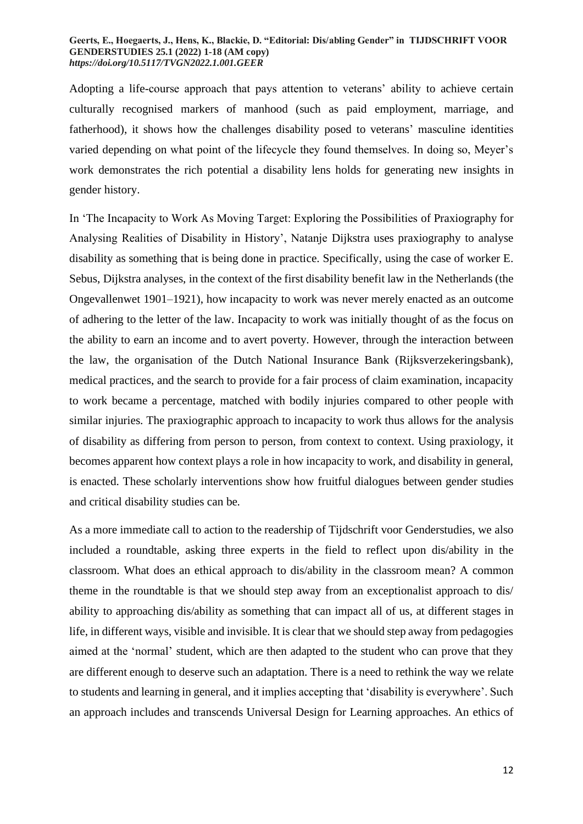Adopting a life-course approach that pays attention to veterans' ability to achieve certain culturally recognised markers of manhood (such as paid employment, marriage, and fatherhood), it shows how the challenges disability posed to veterans' masculine identities varied depending on what point of the lifecycle they found themselves. In doing so, Meyer's work demonstrates the rich potential a disability lens holds for generating new insights in gender history.

In 'The Incapacity to Work As Moving Target: Exploring the Possibilities of Praxiography for Analysing Realities of Disability in History', Natanje Dijkstra uses praxiography to analyse disability as something that is being done in practice. Specifically, using the case of worker E. Sebus, Dijkstra analyses, in the context of the first disability benefit law in the Netherlands (the Ongevallenwet 1901–1921), how incapacity to work was never merely enacted as an outcome of adhering to the letter of the law. Incapacity to work was initially thought of as the focus on the ability to earn an income and to avert poverty. However, through the interaction between the law, the organisation of the Dutch National Insurance Bank (Rijksverzekeringsbank), medical practices, and the search to provide for a fair process of claim examination, incapacity to work became a percentage, matched with bodily injuries compared to other people with similar injuries. The praxiographic approach to incapacity to work thus allows for the analysis of disability as differing from person to person, from context to context. Using praxiology, it becomes apparent how context plays a role in how incapacity to work, and disability in general, is enacted. These scholarly interventions show how fruitful dialogues between gender studies and critical disability studies can be.

As a more immediate call to action to the readership of Tijdschrift voor Genderstudies, we also included a roundtable, asking three experts in the field to reflect upon dis/ability in the classroom. What does an ethical approach to dis/ability in the classroom mean? A common theme in the roundtable is that we should step away from an exceptionalist approach to dis/ ability to approaching dis/ability as something that can impact all of us, at different stages in life, in different ways, visible and invisible. It is clear that we should step away from pedagogies aimed at the 'normal' student, which are then adapted to the student who can prove that they are different enough to deserve such an adaptation. There is a need to rethink the way we relate to students and learning in general, and it implies accepting that 'disability is everywhere'. Such an approach includes and transcends Universal Design for Learning approaches. An ethics of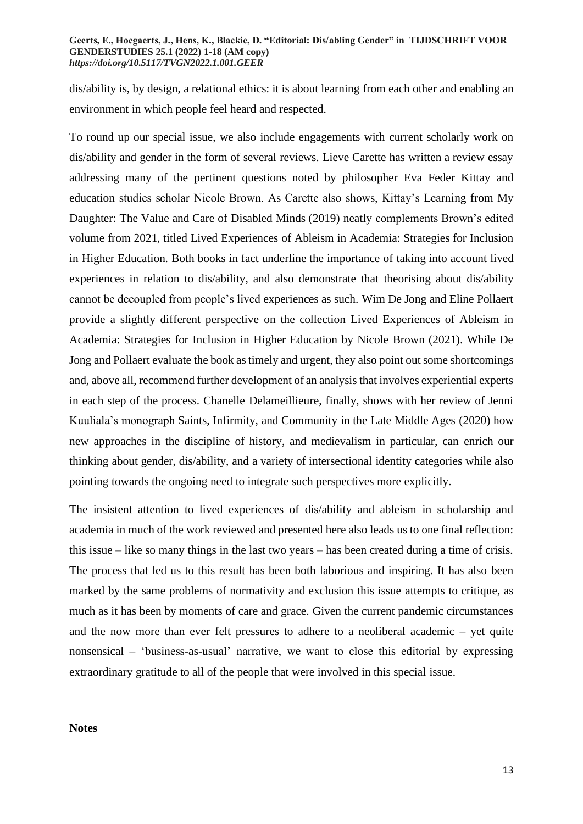dis/ability is, by design, a relational ethics: it is about learning from each other and enabling an environment in which people feel heard and respected.

To round up our special issue, we also include engagements with current scholarly work on dis/ability and gender in the form of several reviews. Lieve Carette has written a review essay addressing many of the pertinent questions noted by philosopher Eva Feder Kittay and education studies scholar Nicole Brown. As Carette also shows, Kittay's Learning from My Daughter: The Value and Care of Disabled Minds (2019) neatly complements Brown's edited volume from 2021, titled Lived Experiences of Ableism in Academia: Strategies for Inclusion in Higher Education. Both books in fact underline the importance of taking into account lived experiences in relation to dis/ability, and also demonstrate that theorising about dis/ability cannot be decoupled from people's lived experiences as such. Wim De Jong and Eline Pollaert provide a slightly different perspective on the collection Lived Experiences of Ableism in Academia: Strategies for Inclusion in Higher Education by Nicole Brown (2021). While De Jong and Pollaert evaluate the book as timely and urgent, they also point out some shortcomings and, above all, recommend further development of an analysis that involves experiential experts in each step of the process. Chanelle Delameillieure, finally, shows with her review of Jenni Kuuliala's monograph Saints, Infirmity, and Community in the Late Middle Ages (2020) how new approaches in the discipline of history, and medievalism in particular, can enrich our thinking about gender, dis/ability, and a variety of intersectional identity categories while also pointing towards the ongoing need to integrate such perspectives more explicitly.

The insistent attention to lived experiences of dis/ability and ableism in scholarship and academia in much of the work reviewed and presented here also leads us to one final reflection: this issue – like so many things in the last two years – has been created during a time of crisis. The process that led us to this result has been both laborious and inspiring. It has also been marked by the same problems of normativity and exclusion this issue attempts to critique, as much as it has been by moments of care and grace. Given the current pandemic circumstances and the now more than ever felt pressures to adhere to a neoliberal academic – yet quite nonsensical – 'business-as-usual' narrative, we want to close this editorial by expressing extraordinary gratitude to all of the people that were involved in this special issue.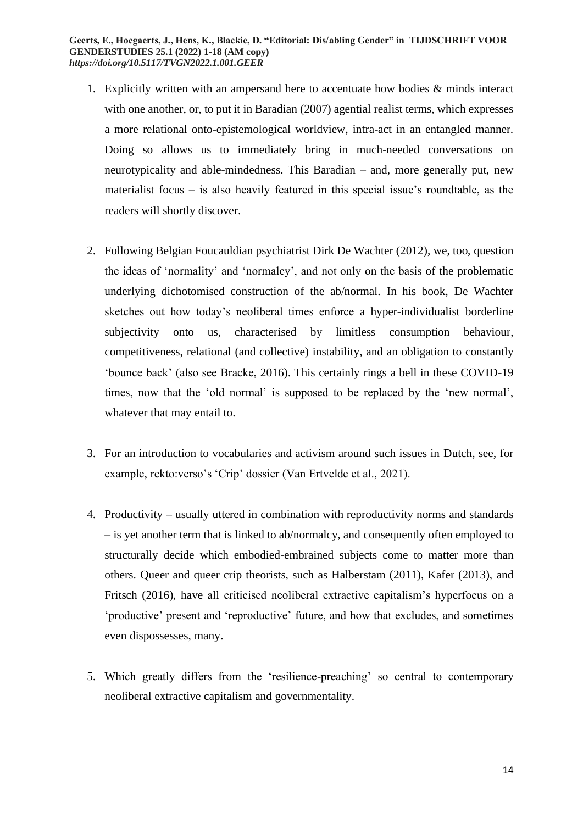- 1. Explicitly written with an ampersand here to accentuate how bodies & minds interact with one another, or, to put it in Baradian (2007) agential realist terms, which expresses a more relational onto-epistemological worldview, intra-act in an entangled manner. Doing so allows us to immediately bring in much-needed conversations on neurotypicality and able-mindedness. This Baradian – and, more generally put, new materialist focus – is also heavily featured in this special issue's roundtable, as the readers will shortly discover.
- 2. Following Belgian Foucauldian psychiatrist Dirk De Wachter (2012), we, too, question the ideas of 'normality' and 'normalcy', and not only on the basis of the problematic underlying dichotomised construction of the ab/normal. In his book, De Wachter sketches out how today's neoliberal times enforce a hyper-individualist borderline subjectivity onto us, characterised by limitless consumption behaviour, competitiveness, relational (and collective) instability, and an obligation to constantly 'bounce back' (also see Bracke, 2016). This certainly rings a bell in these COVID-19 times, now that the 'old normal' is supposed to be replaced by the 'new normal', whatever that may entail to.
- 3. For an introduction to vocabularies and activism around such issues in Dutch, see, for example, rekto:verso's 'Crip' dossier (Van Ertvelde et al., 2021).
- 4. Productivity usually uttered in combination with reproductivity norms and standards – is yet another term that is linked to ab/normalcy, and consequently often employed to structurally decide which embodied-embrained subjects come to matter more than others. Queer and queer crip theorists, such as Halberstam (2011), Kafer (2013), and Fritsch (2016), have all criticised neoliberal extractive capitalism's hyperfocus on a 'productive' present and 'reproductive' future, and how that excludes, and sometimes even dispossesses, many.
- 5. Which greatly differs from the 'resilience-preaching' so central to contemporary neoliberal extractive capitalism and governmentality.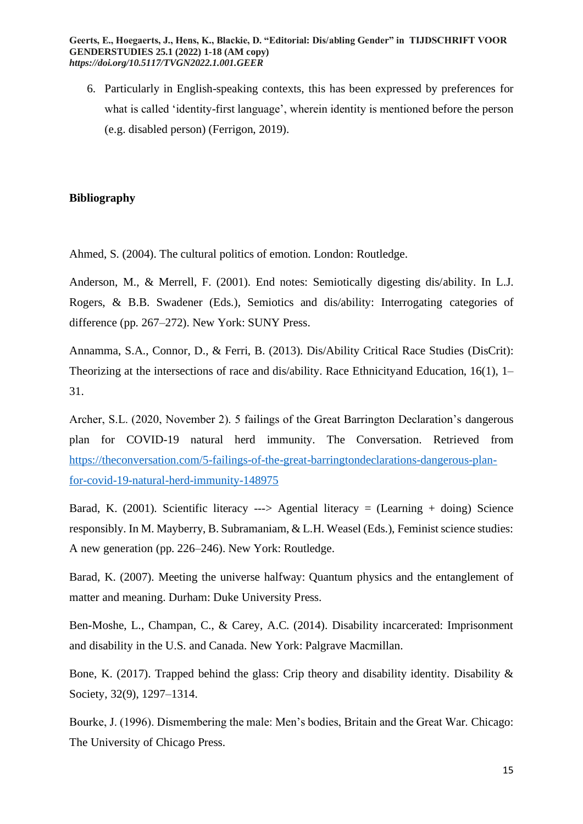6. Particularly in English-speaking contexts, this has been expressed by preferences for what is called 'identity-first language', wherein identity is mentioned before the person (e.g. disabled person) (Ferrigon, 2019).

# **Bibliography**

Ahmed, S. (2004). The cultural politics of emotion. London: Routledge.

Anderson, M., & Merrell, F. (2001). End notes: Semiotically digesting dis/ability. In L.J. Rogers, & B.B. Swadener (Eds.), Semiotics and dis/ability: Interrogating categories of difference (pp. 267–272). New York: SUNY Press.

Annamma, S.A., Connor, D., & Ferri, B. (2013). Dis/Ability Critical Race Studies (DisCrit): Theorizing at the intersections of race and dis/ability. Race Ethnicityand Education, 16(1), 1– 31.

Archer, S.L. (2020, November 2). 5 failings of the Great Barrington Declaration's dangerous plan for COVID-19 natural herd immunity. The Conversation. Retrieved from [https://theconversation.com/5-failings-of-the-great-barringtondeclarations-dangerous-plan](https://theconversation.com/5-failings-of-the-great-barringtondeclarations-dangerous-plan-for-covid-19-natural-herd-immunity-148975)[for-covid-19-natural-herd-immunity-148975](https://theconversation.com/5-failings-of-the-great-barringtondeclarations-dangerous-plan-for-covid-19-natural-herd-immunity-148975)

Barad, K. (2001). Scientific literacy  $\rightarrow$  Agential literacy = (Learning + doing) Science responsibly. In M. Mayberry, B. Subramaniam, & L.H. Weasel (Eds.), Feminist science studies: A new generation (pp. 226–246). New York: Routledge.

Barad, K. (2007). Meeting the universe halfway: Quantum physics and the entanglement of matter and meaning. Durham: Duke University Press.

Ben-Moshe, L., Champan, C., & Carey, A.C. (2014). Disability incarcerated: Imprisonment and disability in the U.S. and Canada. New York: Palgrave Macmillan.

Bone, K. (2017). Trapped behind the glass: Crip theory and disability identity. Disability & Society, 32(9), 1297–1314.

Bourke, J. (1996). Dismembering the male: Men's bodies, Britain and the Great War. Chicago: The University of Chicago Press.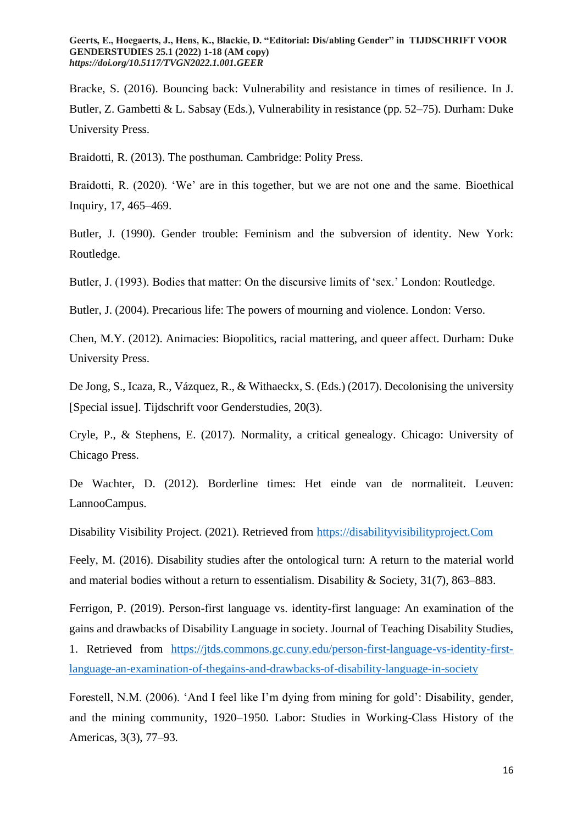Bracke, S. (2016). Bouncing back: Vulnerability and resistance in times of resilience. In J. Butler, Z. Gambetti & L. Sabsay (Eds.), Vulnerability in resistance (pp. 52–75). Durham: Duke University Press.

Braidotti, R. (2013). The posthuman. Cambridge: Polity Press.

Braidotti, R. (2020). 'We' are in this together, but we are not one and the same. Bioethical Inquiry, 17, 465–469.

Butler, J. (1990). Gender trouble: Feminism and the subversion of identity. New York: Routledge.

Butler, J. (1993). Bodies that matter: On the discursive limits of 'sex.' London: Routledge.

Butler, J. (2004). Precarious life: The powers of mourning and violence. London: Verso.

Chen, M.Y. (2012). Animacies: Biopolitics, racial mattering, and queer affect. Durham: Duke University Press.

De Jong, S., Icaza, R., Vázquez, R., & Withaeckx, S. (Eds.) (2017). Decolonising the university [Special issue]. Tijdschrift voor Genderstudies, 20(3).

Cryle, P., & Stephens, E. (2017). Normality, a critical genealogy. Chicago: University of Chicago Press.

De Wachter, D. (2012). Borderline times: Het einde van de normaliteit. Leuven: LannooCampus.

Disability Visibility Project. (2021). Retrieved from [https://disabilityvisibilityproject.Com](https://disabilityvisibilityproject.com/)

Feely, M. (2016). Disability studies after the ontological turn: A return to the material world and material bodies without a return to essentialism. Disability & Society, 31(7), 863–883.

Ferrigon, P. (2019). Person-first language vs. identity-first language: An examination of the gains and drawbacks of Disability Language in society. Journal of Teaching Disability Studies,

1. Retrieved from [https://jtds.commons.gc.cuny.edu/person-first-language-vs-identity-first](https://jtds.commons.gc.cuny.edu/person-first-language-vs-identity-first-language-an-examination-of-thegains-and-drawbacks-of-disability-language-in-society)[language-an-examination-of-thegains-and-drawbacks-of-disability-language-in-society](https://jtds.commons.gc.cuny.edu/person-first-language-vs-identity-first-language-an-examination-of-thegains-and-drawbacks-of-disability-language-in-society)

Forestell, N.M. (2006). 'And I feel like I'm dying from mining for gold': Disability, gender, and the mining community, 1920–1950. Labor: Studies in Working-Class History of the Americas, 3(3), 77–93.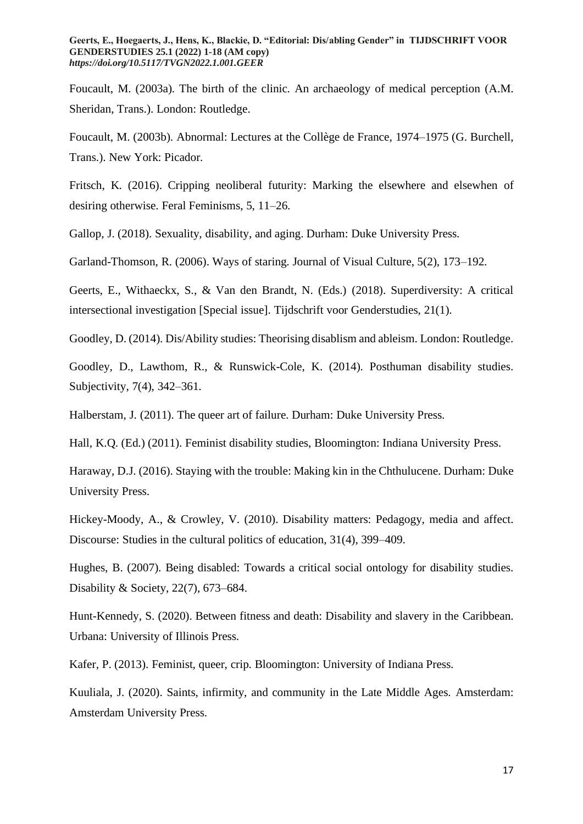Foucault, M. (2003a). The birth of the clinic. An archaeology of medical perception (A.M. Sheridan, Trans.). London: Routledge.

Foucault, M. (2003b). Abnormal: Lectures at the Collège de France, 1974–1975 (G. Burchell, Trans.). New York: Picador.

Fritsch, K. (2016). Cripping neoliberal futurity: Marking the elsewhere and elsewhen of desiring otherwise. Feral Feminisms, 5, 11–26.

Gallop, J. (2018). Sexuality, disability, and aging. Durham: Duke University Press.

Garland-Thomson, R. (2006). Ways of staring. Journal of Visual Culture, 5(2), 173–192.

Geerts, E., Withaeckx, S., & Van den Brandt, N. (Eds.) (2018). Superdiversity: A critical intersectional investigation [Special issue]. Tijdschrift voor Genderstudies, 21(1).

Goodley, D. (2014). Dis/Ability studies: Theorising disablism and ableism. London: Routledge.

Goodley, D., Lawthom, R., & Runswick-Cole, K. (2014). Posthuman disability studies. Subjectivity, 7(4), 342–361.

Halberstam, J. (2011). The queer art of failure. Durham: Duke University Press.

Hall, K.Q. (Ed.) (2011). Feminist disability studies, Bloomington: Indiana University Press.

Haraway, D.J. (2016). Staying with the trouble: Making kin in the Chthulucene. Durham: Duke University Press.

Hickey-Moody, A., & Crowley, V. (2010). Disability matters: Pedagogy, media and affect. Discourse: Studies in the cultural politics of education, 31(4), 399–409.

Hughes, B. (2007). Being disabled: Towards a critical social ontology for disability studies. Disability & Society, 22(7), 673–684.

Hunt-Kennedy, S. (2020). Between fitness and death: Disability and slavery in the Caribbean. Urbana: University of Illinois Press.

Kafer, P. (2013). Feminist, queer, crip. Bloomington: University of Indiana Press.

Kuuliala, J. (2020). Saints, infirmity, and community in the Late Middle Ages. Amsterdam: Amsterdam University Press.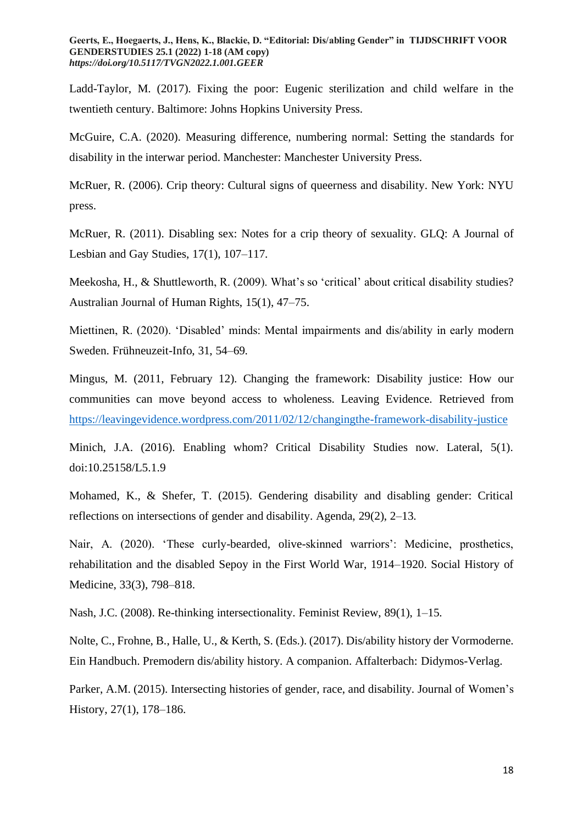Ladd-Taylor, M. (2017). Fixing the poor: Eugenic sterilization and child welfare in the twentieth century. Baltimore: Johns Hopkins University Press.

McGuire, C.A. (2020). Measuring difference, numbering normal: Setting the standards for disability in the interwar period. Manchester: Manchester University Press.

McRuer, R. (2006). Crip theory: Cultural signs of queerness and disability. New York: NYU press.

McRuer, R. (2011). Disabling sex: Notes for a crip theory of sexuality. GLQ: A Journal of Lesbian and Gay Studies, 17(1), 107–117.

Meekosha, H., & Shuttleworth, R. (2009). What's so 'critical' about critical disability studies? Australian Journal of Human Rights, 15(1), 47–75.

Miettinen, R. (2020). 'Disabled' minds: Mental impairments and dis/ability in early modern Sweden. Frühneuzeit-Info, 31, 54–69.

Mingus, M. (2011, February 12). Changing the framework: Disability justice: How our communities can move beyond access to wholeness. Leaving Evidence. Retrieved from <https://leavingevidence.wordpress.com/2011/02/12/changingthe-framework-disability-justice>

Minich, J.A. (2016). Enabling whom? Critical Disability Studies now. Lateral, 5(1). doi:10.25158/L5.1.9

Mohamed, K., & Shefer, T. (2015). Gendering disability and disabling gender: Critical reflections on intersections of gender and disability. Agenda, 29(2), 2–13.

Nair, A. (2020). 'These curly-bearded, olive-skinned warriors': Medicine, prosthetics, rehabilitation and the disabled Sepoy in the First World War, 1914–1920. Social History of Medicine, 33(3), 798–818.

Nash, J.C. (2008). Re-thinking intersectionality. Feminist Review, 89(1), 1–15.

Nolte, C., Frohne, B., Halle, U., & Kerth, S. (Eds.). (2017). Dis/ability history der Vormoderne. Ein Handbuch. Premodern dis/ability history. A companion. Affalterbach: Didymos-Verlag.

Parker, A.M. (2015). Intersecting histories of gender, race, and disability. Journal of Women's History, 27(1), 178–186.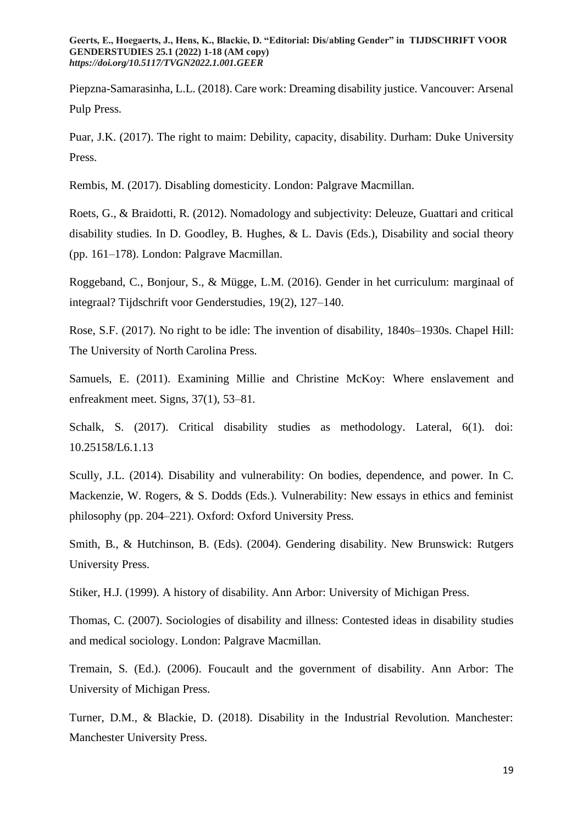Piepzna-Samarasinha, L.L. (2018). Care work: Dreaming disability justice. Vancouver: Arsenal Pulp Press.

Puar, J.K. (2017). The right to maim: Debility, capacity, disability. Durham: Duke University Press.

Rembis, M. (2017). Disabling domesticity. London: Palgrave Macmillan.

Roets, G., & Braidotti, R. (2012). Nomadology and subjectivity: Deleuze, Guattari and critical disability studies. In D. Goodley, B. Hughes, & L. Davis (Eds.), Disability and social theory (pp. 161–178). London: Palgrave Macmillan.

Roggeband, C., Bonjour, S., & Mügge, L.M. (2016). Gender in het curriculum: marginaal of integraal? Tijdschrift voor Genderstudies, 19(2), 127–140.

Rose, S.F. (2017). No right to be idle: The invention of disability, 1840s–1930s. Chapel Hill: The University of North Carolina Press.

Samuels, E. (2011). Examining Millie and Christine McKoy: Where enslavement and enfreakment meet. Signs, 37(1), 53–81.

Schalk, S. (2017). Critical disability studies as methodology. Lateral, 6(1). doi: 10.25158/L6.1.13

Scully, J.L. (2014). Disability and vulnerability: On bodies, dependence, and power. In C. Mackenzie, W. Rogers, & S. Dodds (Eds.). Vulnerability: New essays in ethics and feminist philosophy (pp. 204–221). Oxford: Oxford University Press.

Smith, B., & Hutchinson, B. (Eds). (2004). Gendering disability. New Brunswick: Rutgers University Press.

Stiker, H.J. (1999). A history of disability. Ann Arbor: University of Michigan Press.

Thomas, C. (2007). Sociologies of disability and illness: Contested ideas in disability studies and medical sociology. London: Palgrave Macmillan.

Tremain, S. (Ed.). (2006). Foucault and the government of disability. Ann Arbor: The University of Michigan Press.

Turner, D.M., & Blackie, D. (2018). Disability in the Industrial Revolution. Manchester: Manchester University Press.